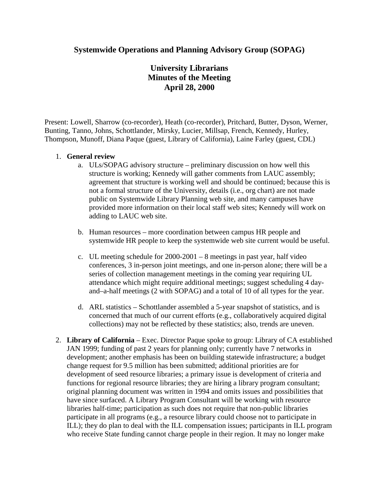## **Systemwide Operations and Planning Advisory Group (SOPAG)**

# **University Librarians Minutes of the Meeting April 28, 2000**

Present: Lowell, Sharrow (co-recorder), Heath (co-recorder), Pritchard, Butter, Dyson, Werner, Bunting, Tanno, Johns, Schottlander, Mirsky, Lucier, Millsap, French, Kennedy, Hurley, Thompson, Munoff, Diana Paque (guest, Library of California), Laine Farley (guest, CDL)

### 1. **General review**

- a. ULs/SOPAG advisory structure preliminary discussion on how well this structure is working; Kennedy will gather comments from LAUC assembly; agreement that structure is working well and should be continued; because this is not a formal structure of the University, details (i.e., org chart) are not made public on Systemwide Library Planning web site, and many campuses have provided more information on their local staff web sites; Kennedy will work on adding to LAUC web site.
- b. Human resources more coordination between campus HR people and systemwide HR people to keep the systemwide web site current would be useful.
- c. UL meeting schedule for 2000-2001 8 meetings in past year, half video conferences, 3 in-person joint meetings, and one in-person alone; there will be a series of collection management meetings in the coming year requiring UL attendance which might require additional meetings; suggest scheduling 4 dayand–a-half meetings (2 with SOPAG) and a total of 10 of all types for the year.
- d. ARL statistics Schottlander assembled a 5-year snapshot of statistics, and is concerned that much of our current efforts (e.g., collaboratively acquired digital collections) may not be reflected by these statistics; also, trends are uneven.
- 2. **Library of California** Exec. Director Paque spoke to group: Library of CA established JAN 1999; funding of past 2 years for planning only; currently have 7 networks in development; another emphasis has been on building statewide infrastructure; a budget change request for 9.5 million has been submitted; additional priorities are for development of seed resource libraries; a primary issue is development of criteria and functions for regional resource libraries; they are hiring a library program consultant; original planning document was written in 1994 and omits issues and possibilities that have since surfaced. A Library Program Consultant will be working with resource libraries half-time; participation as such does not require that non-public libraries participate in all programs (e.g., a resource library could choose not to participate in ILL); they do plan to deal with the ILL compensation issues; participants in ILL program who receive State funding cannot charge people in their region. It may no longer make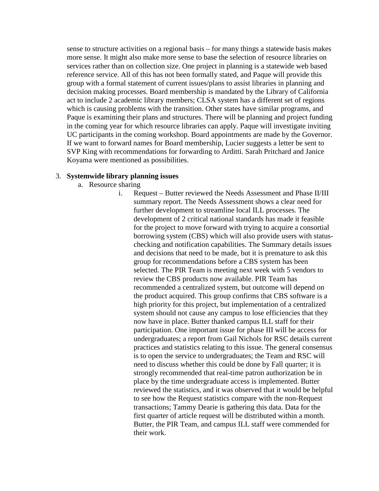sense to structure activities on a regional basis – for many things a statewide basis makes more sense. It might also make more sense to base the selection of resource libraries on services rather than on collection size. One project in planning is a statewide web based reference service. All of this has not been formally stated, and Paque will provide this group with a formal statement of current issues/plans to assist libraries in planning and decision making processes. Board membership is mandated by the Library of California act to include 2 academic library members; CLSA system has a different set of regions which is causing problems with the transition. Other states have similar programs, and Paque is examining their plans and structures. There will be planning and project funding in the coming year for which resource libraries can apply. Paque will investigate inviting UC participants in the coming workshop. Board appointments are made by the Governor. If we want to forward names for Board membership, Lucier suggests a letter be sent to SVP King with recommendations for forwarding to Arditti. Sarah Pritchard and Janice Koyama were mentioned as possibilities.

#### 3. **Systemwide library planning issues**

- a. Resource sharing
	- i. Request Butter reviewed the Needs Assessment and Phase II/III summary report. The Needs Assessment shows a clear need for further development to streamline local ILL processes. The development of 2 critical national standards has made it feasible for the project to move forward with trying to acquire a consortial borrowing system (CBS) which will also provide users with statuschecking and notification capabilities. The Summary details issues and decisions that need to be made, but it is premature to ask this group for recommendations before a CBS system has been selected. The PIR Team is meeting next week with 5 vendors to review the CBS products now available. PIR Team has recommended a centralized system, but outcome will depend on the product acquired. This group confirms that CBS software is a high priority for this project, but implementation of a centralized system should not cause any campus to lose efficiencies that they now have in place. Butter thanked campus ILL staff for their participation. One important issue for phase III will be access for undergraduates; a report from Gail Nichols for RSC details current practices and statistics relating to this issue. The general consensus is to open the service to undergraduates; the Team and RSC will need to discuss whether this could be done by Fall quarter; it is strongly recommended that real-time patron authorization be in place by the time undergraduate access is implemented. Butter reviewed the statistics, and it was observed that it would be helpful to see how the Request statistics compare with the non-Request transactions; Tammy Dearie is gathering this data. Data for the first quarter of article request will be distributed within a month. Butter, the PIR Team, and campus ILL staff were commended for their work.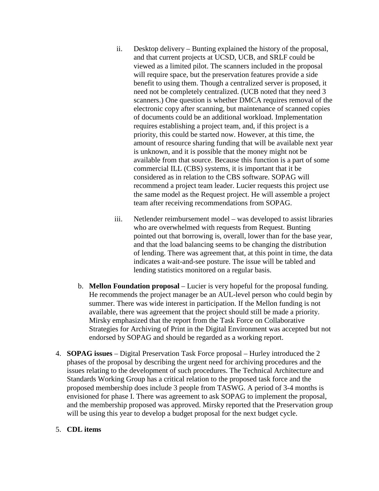- ii. Desktop delivery Bunting explained the history of the proposal, and that current projects at UCSD, UCB, and SRLF could be viewed as a limited pilot. The scanners included in the proposal will require space, but the preservation features provide a side benefit to using them. Though a centralized server is proposed, it need not be completely centralized. (UCB noted that they need 3 scanners.) One question is whether DMCA requires removal of the electronic copy after scanning, but maintenance of scanned copies of documents could be an additional workload. Implementation requires establishing a project team, and, if this project is a priority, this could be started now. However, at this time, the amount of resource sharing funding that will be available next year is unknown, and it is possible that the money might not be available from that source. Because this function is a part of some commercial ILL (CBS) systems, it is important that it be considered as in relation to the CBS software. SOPAG will recommend a project team leader. Lucier requests this project use the same model as the Request project. He will assemble a project team after receiving recommendations from SOPAG.
- iii. Netlender reimbursement model was developed to assist libraries who are overwhelmed with requests from Request. Bunting pointed out that borrowing is, overall, lower than for the base year, and that the load balancing seems to be changing the distribution of lending. There was agreement that, at this point in time, the data indicates a wait-and-see posture. The issue will be tabled and lending statistics monitored on a regular basis.
- b. **Mellon Foundation proposal** Lucier is very hopeful for the proposal funding. He recommends the project manager be an AUL-level person who could begin by summer. There was wide interest in participation. If the Mellon funding is not available, there was agreement that the project should still be made a priority. Mirsky emphasized that the report from the Task Force on Collaborative Strategies for Archiving of Print in the Digital Environment was accepted but not endorsed by SOPAG and should be regarded as a working report.
- 4. **SOPAG issues** Digital Preservation Task Force proposal Hurley introduced the 2 phases of the proposal by describing the urgent need for archiving procedures and the issues relating to the development of such procedures. The Technical Architecture and Standards Working Group has a critical relation to the proposed task force and the proposed membership does include 3 people from TASWG. A period of 3-4 months is envisioned for phase I. There was agreement to ask SOPAG to implement the proposal, and the membership proposed was approved. Mirsky reported that the Preservation group will be using this year to develop a budget proposal for the next budget cycle.

## 5. **CDL items**